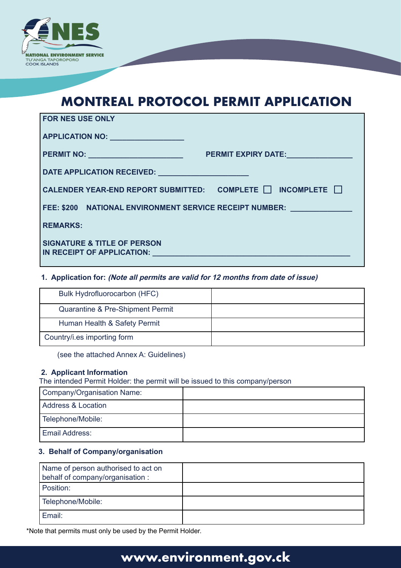

# **MONTREAL PROTOCOL PERMIT APPLICATION**

| <b>FOR NES USE ONLY</b>                                                                                                                                                                                                                                           |
|-------------------------------------------------------------------------------------------------------------------------------------------------------------------------------------------------------------------------------------------------------------------|
| APPLICATION NO:                                                                                                                                                                                                                                                   |
| <b>PERMIT NO:</b> Note that the second the second term of the second term of the second term of the second term of the second term of the second term of the second term of the second term of the second term of the second term o<br><b>PERMIT EXPIRY DATE:</b> |
| DATE APPLICATION RECEIVED: Network of the state of the state of the state of the state of the state of the state of the state of the state of the state of the state of the state of the state of the state of the state of th                                    |
| CALENDER YEAR-END REPORT SUBMITTED: COMPLETE $\Box$ INCOMPLETE $\Box$                                                                                                                                                                                             |
| FEE: \$200 NATIONAL ENVIRONMENT SERVICE RECEIPT NUMBER: _________________________                                                                                                                                                                                 |
| <b>REMARKS:</b>                                                                                                                                                                                                                                                   |
| <b>SIGNATURE &amp; TITLE OF PERSON</b><br>IN RECEIPT OF APPLICATION:                                                                                                                                                                                              |

### **1. Application for: (Note all permits are valid for 12 months from date of issue)**

| Bulk Hydrofluorocarbon (HFC)     |  |
|----------------------------------|--|
| Quarantine & Pre-Shipment Permit |  |
| Human Health & Safety Permit     |  |
| Country/i.es importing form      |  |

(see the attached Annex A: Guidelines)

#### **2. Applicant Information**

The intended Permit Holder: the permit will be issued to this company/person

| Company/Organisation Name: |  |
|----------------------------|--|
| Address & Location         |  |
| Telephone/Mobile:          |  |
| <b>Email Address:</b>      |  |

### **3. Behalf of Company/organisation**

| Name of person authorised to act on<br>behalf of company/organisation : |  |
|-------------------------------------------------------------------------|--|
| Position:                                                               |  |
| Telephone/Mobile:                                                       |  |
| Email:                                                                  |  |

\*Note that permits must only be used by the Permit Holder.

## **www.environment.gov.ck**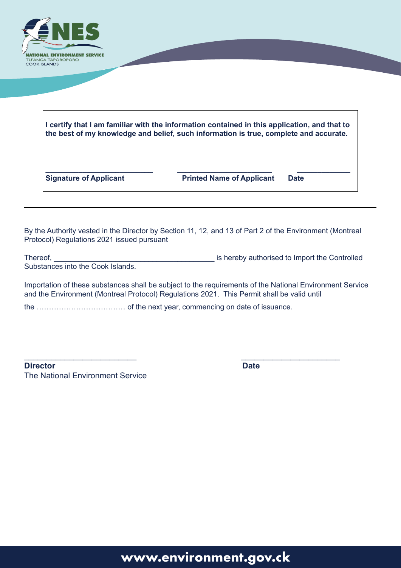

| I certify that I am familiar with the information contained in this application, and that to<br>the best of my knowledge and belief, such information is true, complete and accurate. |             |  |
|---------------------------------------------------------------------------------------------------------------------------------------------------------------------------------------|-------------|--|
|                                                                                                                                                                                       |             |  |
| <b>Printed Name of Applicant</b>                                                                                                                                                      | <b>Date</b> |  |
|                                                                                                                                                                                       |             |  |

By the Authority vested in the Director by Section 11, 12, and 13 of Part 2 of the Environment (Montreal Protocol) Regulations 2021 issued pursuant

Thereof, Thereof, Thereof, Thereof, Thereof, Thereof, Thereof, Thereof, Thereof, Thereof, Thereof, Thereof, Thereof, Thereof, Thereof, Thereof, Thereof, Thereof, Thereof, Thereof, Thereof, Thereof, Thereof, Thereof, Thereo Substances into the Cook Islands.

Importation of these substances shall be subject to the requirements of the National Environment Service and the Environment (Montreal Protocol) Regulations 2021. This Permit shall be valid until

 $\overline{\phantom{a}}$  , and the contract of the contract of the contract of the contract of the contract of the contract of the contract of the contract of the contract of the contract of the contract of the contract of the contrac

the ……………………………… of the next year, commencing on date of issuance.

**Director** Date The National Environment Service

# **www.environment.gov.ck**